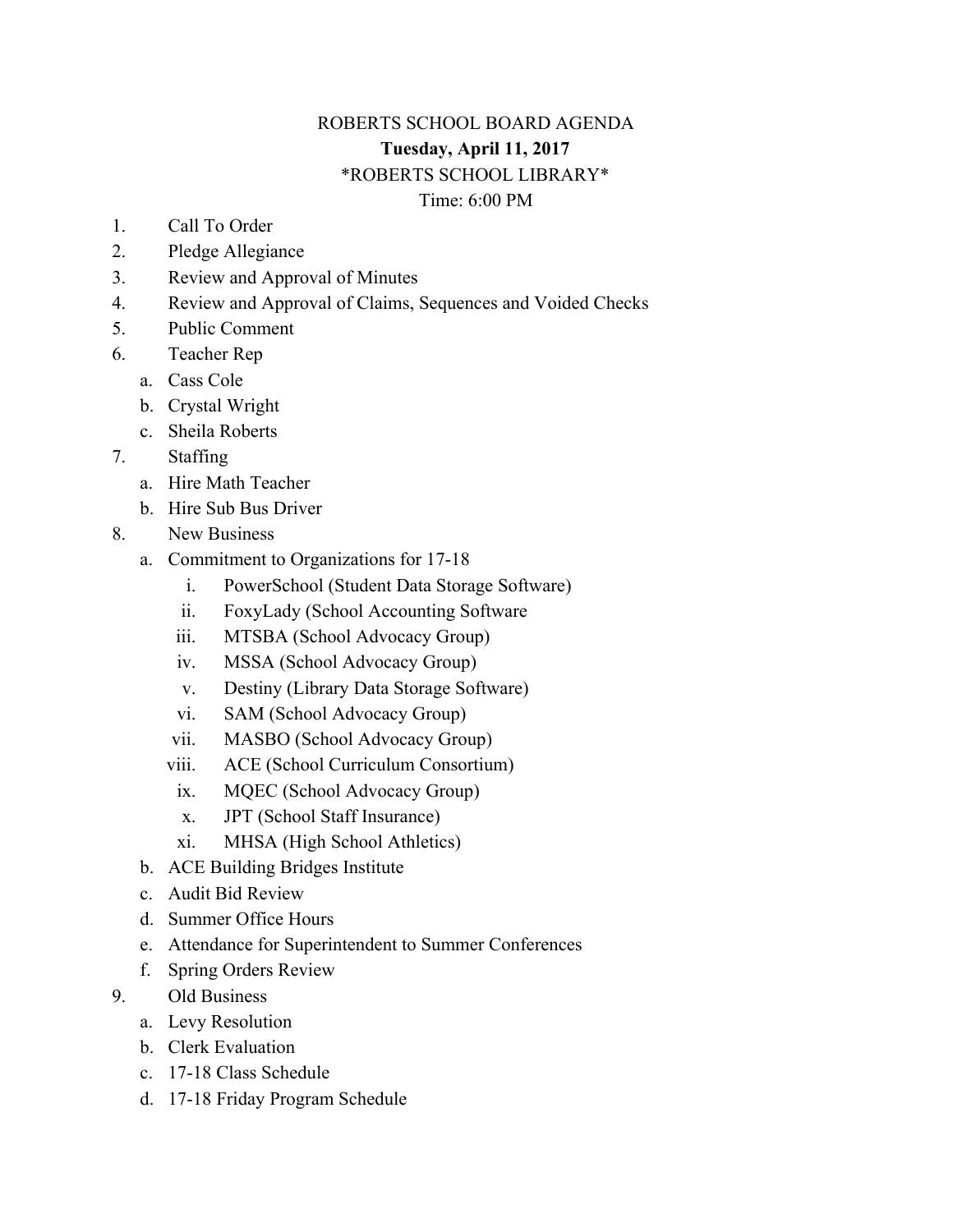## ROBERTS SCHOOL BOARD AGENDA **Tuesday, April 11, 2017** \*ROBERTS SCHOOL LIBRARY\* Time: 6:00 PM

- 1. Call To Order
- 2. Pledge Allegiance
- 3. Review and Approval of Minutes
- 4. Review and Approval of Claims, Sequences and Voided Checks
- 5. Public Comment
- 6. Teacher Rep
	- a. Cass Cole
	- b. Crystal Wright
	- c. Sheila Roberts
- 7. Staffing
	- a. Hire Math Teacher
	- b. Hire Sub Bus Driver
- 8. New Business
	- a. Commitment to Organizations for 17-18
		- i. PowerSchool (Student Data Storage Software)
		- ii. FoxyLady (School Accounting Software
		- iii. MTSBA (School Advocacy Group)
		- iv. MSSA (School Advocacy Group)
		- v. Destiny (Library Data Storage Software)
		- vi. SAM (School Advocacy Group)
		- vii. MASBO (School Advocacy Group)
		- viii. ACE (School Curriculum Consortium)
			- ix. MQEC (School Advocacy Group)
			- x. JPT (School Staff Insurance)
		- xi. MHSA (High School Athletics)
	- b. ACE Building Bridges Institute
	- c. Audit Bid Review
	- d. Summer Office Hours
	- e. Attendance for Superintendent to Summer Conferences
	- f. Spring Orders Review
- 9. Old Business
	- a. Levy Resolution
	- b. Clerk Evaluation
	- c. 17-18 Class Schedule
	- d. 17-18 Friday Program Schedule